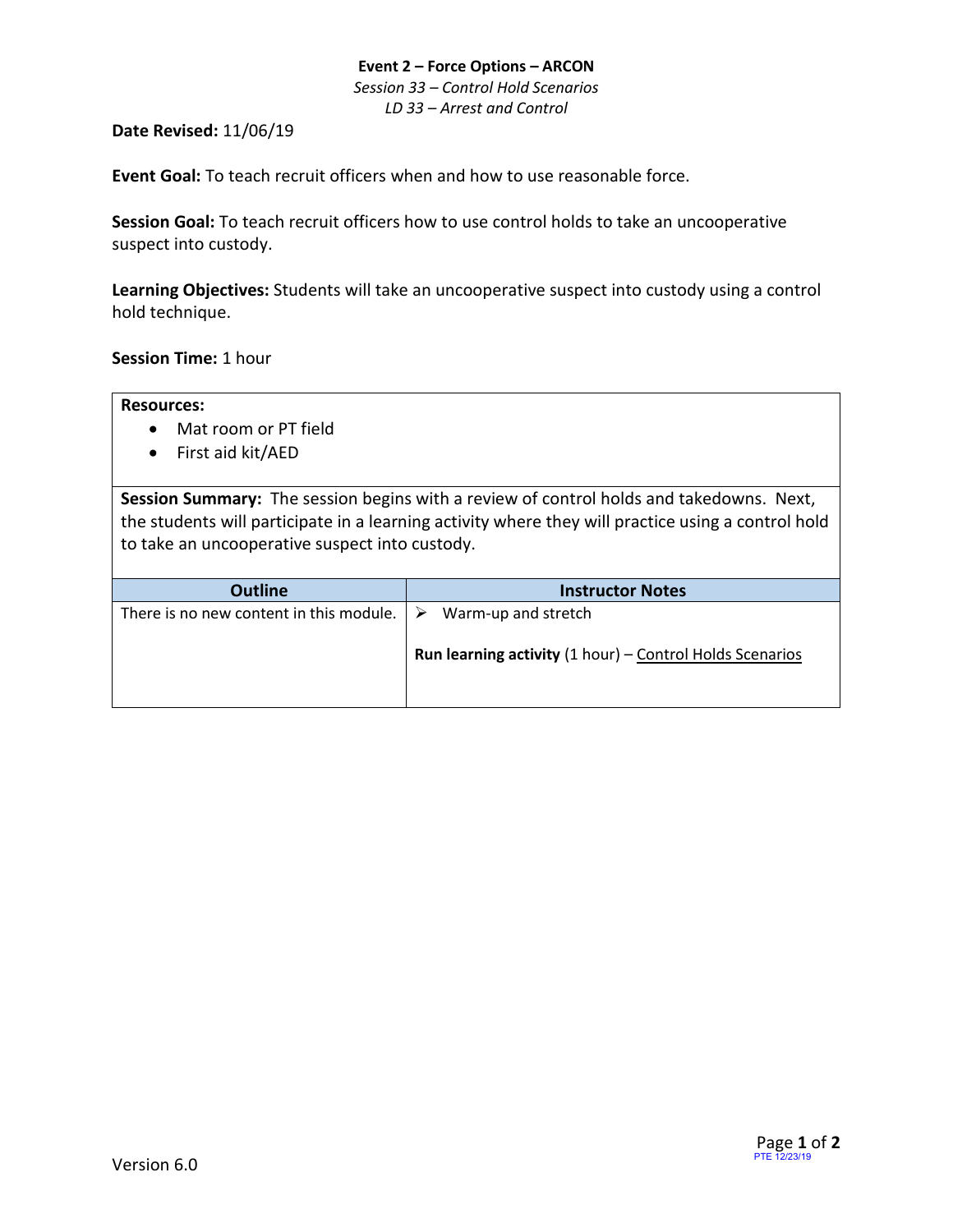#### **Event 2 – Force Options – ARCON** *Session 33 – Control Hold Scenarios LD 33 – Arrest and Control*

#### **Date Revised:** 11/06/19

**Event Goal:** To teach recruit officers when and how to use reasonable force.

**Session Goal:** To teach recruit officers how to use control holds to take an uncooperative suspect into custody.

**Learning Objectives:** Students will take an uncooperative suspect into custody using a control hold technique.

**Session Time:** 1 hour

- Mat room or PT field
- First aid kit/AED

**Session Summary:** The session begins with a review of control holds and takedowns. Next, the students will participate in a learning activity where they will practice using a control hold to take an uncooperative suspect into custody.

| <b>Outline</b>                                           | <b>Instructor Notes</b>                                                                  |
|----------------------------------------------------------|------------------------------------------------------------------------------------------|
| There is no new content in this module. $\triangleright$ | Warm-up and stretch<br><b>Run learning activity</b> $(1 hour)$ – Control Holds Scenarios |
|                                                          |                                                                                          |